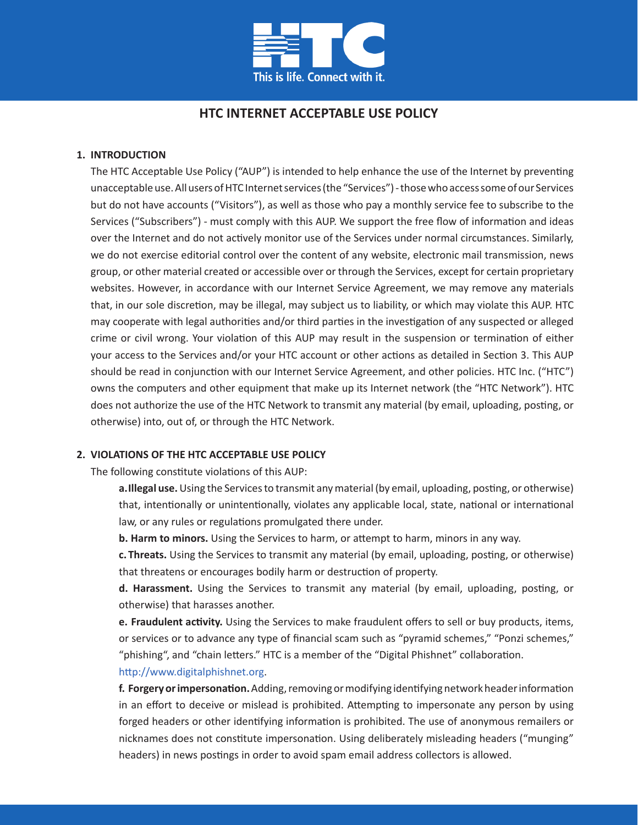

# **HTC INTERNET ACCEPTABLE USE POLICY**

### **1. INTRODUCTION**

The HTC Acceptable Use Policy ("AUP") is intended to help enhance the use of the Internet by preventing unacceptable use. All users of HTC Internet services (the "Services") - those who access some of our Services but do not have accounts ("Visitors"), as well as those who pay a monthly service fee to subscribe to the Services ("Subscribers") - must comply with this AUP. We support the free flow of information and ideas over the Internet and do not actively monitor use of the Services under normal circumstances. Similarly, we do not exercise editorial control over the content of any website, electronic mail transmission, news group, or other material created or accessible over or through the Services, except for certain proprietary websites. However, in accordance with our Internet Service Agreement, we may remove any materials that, in our sole discretion, may be illegal, may subject us to liability, or which may violate this AUP. HTC may cooperate with legal authorities and/or third parties in the investigation of any suspected or alleged crime or civil wrong. Your violation of this AUP may result in the suspension or termination of either your access to the Services and/or your HTC account or other actions as detailed in Section 3. This AUP should be read in conjunction with our Internet Service Agreement, and other policies. HTC Inc. ("HTC") owns the computers and other equipment that make up its Internet network (the "HTC Network"). HTC does not authorize the use of the HTC Network to transmit any material (by email, uploading, posting, or otherwise) into, out of, or through the HTC Network.

### **2. VIOLATIONS OF THE HTC ACCEPTABLE USE POLICY**

The following constitute violations of this AUP:

**a.Illegal use.** Using the Services to transmit any material (by email, uploading, posting, or otherwise) that, intentionally or unintentionally, violates any applicable local, state, national or international law, or any rules or regulations promulgated there under.

**b. Harm to minors.** Using the Services to harm, or attempt to harm, minors in any way.

**c. Threats.** Using the Services to transmit any material (by email, uploading, posting, or otherwise) that threatens or encourages bodily harm or destruction of property.

**d. Harassment.** Using the Services to transmit any material (by email, uploading, posting, or otherwise) that harasses another.

**e. Fraudulent activity.** Using the Services to make fraudulent offers to sell or buy products, items, or services or to advance any type of financial scam such as "pyramid schemes," "Ponzi schemes," "phishing", and "chain letters." HTC is a member of the "Digital Phishnet" collaboration.

### http://www.digitalphishnet.org.

**f. Forgery or impersonation.** Adding, removing or modifying identifying network header information in an effort to deceive or mislead is prohibited. Attempting to impersonate any person by using forged headers or other identifying information is prohibited. The use of anonymous remailers or nicknames does not constitute impersonation. Using deliberately misleading headers ("munging" headers) in news postings in order to avoid spam email address collectors is allowed.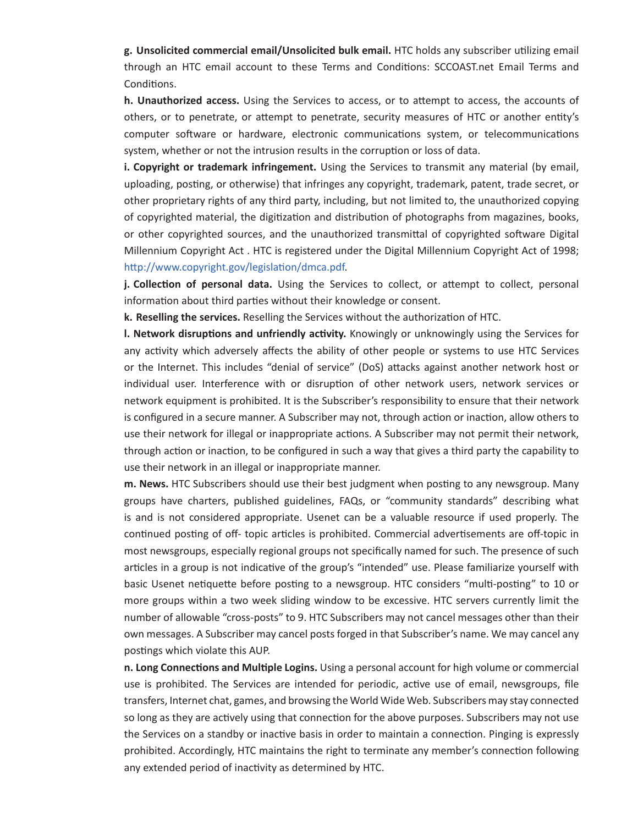**g. Unsolicited commercial email/Unsolicited bulk email.** HTC holds any subscriber utilizing email through an HTC email account to these Terms and Conditions: SCCOAST.net Email Terms and Conditions.

**h. Unauthorized access.** Using the Services to access, or to attempt to access, the accounts of others, or to penetrate, or attempt to penetrate, security measures of HTC or another entity's computer software or hardware, electronic communications system, or telecommunications system, whether or not the intrusion results in the corruption or loss of data.

**i. Copyright or trademark infringement.** Using the Services to transmit any material (by email, uploading, posting, or otherwise) that infringes any copyright, trademark, patent, trade secret, or other proprietary rights of any third party, including, but not limited to, the unauthorized copying of copyrighted material, the digitization and distribution of photographs from magazines, books, or other copyrighted sources, and the unauthorized transmittal of copyrighted software Digital Millennium Copyright Act . HTC is registered under the Digital Millennium Copyright Act of 1998; http://www.copyright.gov/legislation/dmca.pdf.

**j.** Collection of personal data. Using the Services to collect, or attempt to collect, personal information about third parties without their knowledge or consent.

**k. Reselling the services.** Reselling the Services without the authorization of HTC.

**l. Network disruptions and unfriendly activity.** Knowingly or unknowingly using the Services for any activity which adversely affects the ability of other people or systems to use HTC Services or the Internet. This includes "denial of service" (DoS) attacks against another network host or individual user. Interference with or disruption of other network users, network services or network equipment is prohibited. It is the Subscriber's responsibility to ensure that their network is configured in a secure manner. A Subscriber may not, through action or inaction, allow others to use their network for illegal or inappropriate actions. A Subscriber may not permit their network, through action or inaction, to be configured in such a way that gives a third party the capability to use their network in an illegal or inappropriate manner.

**m. News.** HTC Subscribers should use their best judgment when posting to any newsgroup. Many groups have charters, published guidelines, FAQs, or "community standards" describing what is and is not considered appropriate. Usenet can be a valuable resource if used properly. The continued posting of off- topic articles is prohibited. Commercial advertisements are off-topic in most newsgroups, especially regional groups not specifically named for such. The presence of such articles in a group is not indicative of the group's "intended" use. Please familiarize yourself with basic Usenet netiquette before posting to a newsgroup. HTC considers "multi-posting" to 10 or more groups within a two week sliding window to be excessive. HTC servers currently limit the number of allowable "cross-posts" to 9. HTC Subscribers may not cancel messages other than their own messages. A Subscriber may cancel posts forged in that Subscriber's name. We may cancel any postings which violate this AUP.

**n. Long Connections and Multiple Logins.** Using a personal account for high volume or commercial use is prohibited. The Services are intended for periodic, active use of email, newsgroups, file transfers, Internet chat, games, and browsing the World Wide Web. Subscribers may stay connected so long as they are actively using that connection for the above purposes. Subscribers may not use the Services on a standby or inactive basis in order to maintain a connection. Pinging is expressly prohibited. Accordingly, HTC maintains the right to terminate any member's connection following any extended period of inactivity as determined by HTC.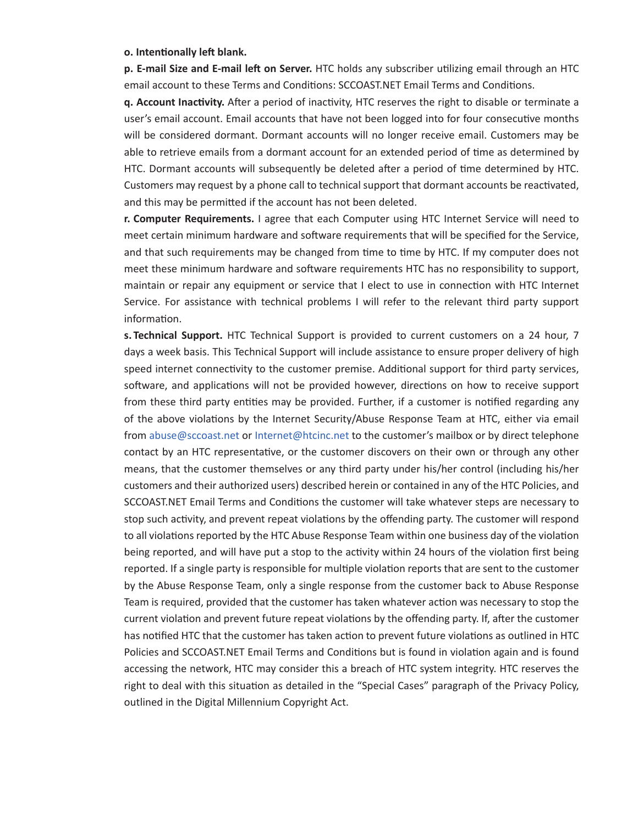#### **o. Intentionally left blank.**

**p. E-mail Size and E-mail left on Server.** HTC holds any subscriber utilizing email through an HTC email account to these Terms and Conditions: SCCOAST.NET Email Terms and Conditions.

**q. Account Inactivity.** After a period of inactivity, HTC reserves the right to disable or terminate a user's email account. Email accounts that have not been logged into for four consecutive months will be considered dormant. Dormant accounts will no longer receive email. Customers may be able to retrieve emails from a dormant account for an extended period of time as determined by HTC. Dormant accounts will subsequently be deleted after a period of time determined by HTC. Customers may request by a phone call to technical support that dormant accounts be reactivated, and this may be permitted if the account has not been deleted.

**r. Computer Requirements.** I agree that each Computer using HTC Internet Service will need to meet certain minimum hardware and software requirements that will be specified for the Service, and that such requirements may be changed from time to time by HTC. If my computer does not meet these minimum hardware and software requirements HTC has no responsibility to support, maintain or repair any equipment or service that I elect to use in connection with HTC Internet Service. For assistance with technical problems I will refer to the relevant third party support information.

**s. Technical Support.** HTC Technical Support is provided to current customers on a 24 hour, 7 days a week basis. This Technical Support will include assistance to ensure proper delivery of high speed internet connectivity to the customer premise. Additional support for third party services, software, and applications will not be provided however, directions on how to receive support from these third party entities may be provided. Further, if a customer is notified regarding any of the above violations by the Internet Security/Abuse Response Team at HTC, either via email from abuse@sccoast.net or Internet@htcinc.net to the customer's mailbox or by direct telephone contact by an HTC representative, or the customer discovers on their own or through any other means, that the customer themselves or any third party under his/her control (including his/her customers and their authorized users) described herein or contained in any of the HTC Policies, and SCCOAST.NET Email Terms and Conditions the customer will take whatever steps are necessary to stop such activity, and prevent repeat violations by the offending party. The customer will respond to all violations reported by the HTC Abuse Response Team within one business day of the violation being reported, and will have put a stop to the activity within 24 hours of the violation first being reported. If a single party is responsible for multiple violation reports that are sent to the customer by the Abuse Response Team, only a single response from the customer back to Abuse Response Team is required, provided that the customer has taken whatever action was necessary to stop the current violation and prevent future repeat violations by the offending party. If, after the customer has notified HTC that the customer has taken action to prevent future violations as outlined in HTC Policies and SCCOAST.NET Email Terms and Conditions but is found in violation again and is found accessing the network, HTC may consider this a breach of HTC system integrity. HTC reserves the right to deal with this situation as detailed in the "Special Cases" paragraph of the Privacy Policy, outlined in the Digital Millennium Copyright Act.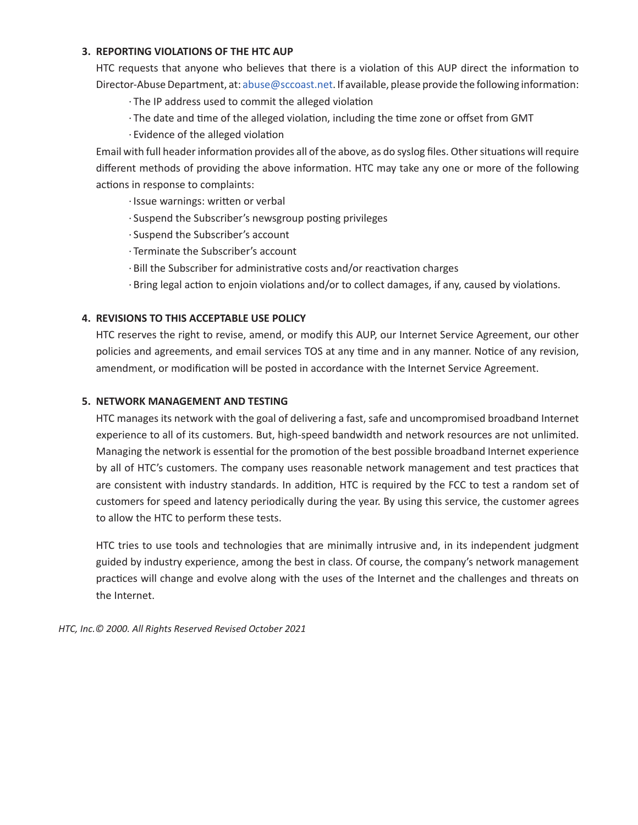## **3. REPORTING VIOLATIONS OF THE HTC AUP**

HTC requests that anyone who believes that there is a violation of this AUP direct the information to Director-Abuse Department, at: abuse@sccoast.net. If available, please provide the following information:

- · The IP address used to commit the alleged violation
- · The date and time of the alleged violation, including the time zone or offset from GMT
- · Evidence of the alleged violation

Email with full header information provides all of the above, as do syslog files. Other situations will require different methods of providing the above information. HTC may take any one or more of the following actions in response to complaints:

- · Issue warnings: written or verbal
- · Suspend the Subscriber's newsgroup posting privileges
- · Suspend the Subscriber's account
- · Terminate the Subscriber's account
- · Bill the Subscriber for administrative costs and/or reactivation charges
- · Bring legal action to enjoin violations and/or to collect damages, if any, caused by violations.

## **4. REVISIONS TO THIS ACCEPTABLE USE POLICY**

HTC reserves the right to revise, amend, or modify this AUP, our Internet Service Agreement, our other policies and agreements, and email services TOS at any time and in any manner. Notice of any revision, amendment, or modification will be posted in accordance with the Internet Service Agreement.

## **5. NETWORK MANAGEMENT AND TESTING**

HTC manages its network with the goal of delivering a fast, safe and uncompromised broadband Internet experience to all of its customers. But, high-speed bandwidth and network resources are not unlimited. Managing the network is essential for the promotion of the best possible broadband Internet experience by all of HTC's customers. The company uses reasonable network management and test practices that are consistent with industry standards. In addition, HTC is required by the FCC to test a random set of customers for speed and latency periodically during the year. By using this service, the customer agrees to allow the HTC to perform these tests.

HTC tries to use tools and technologies that are minimally intrusive and, in its independent judgment guided by industry experience, among the best in class. Of course, the company's network management practices will change and evolve along with the uses of the Internet and the challenges and threats on the Internet.

*HTC, Inc.© 2000. All Rights Reserved Revised October 2021*